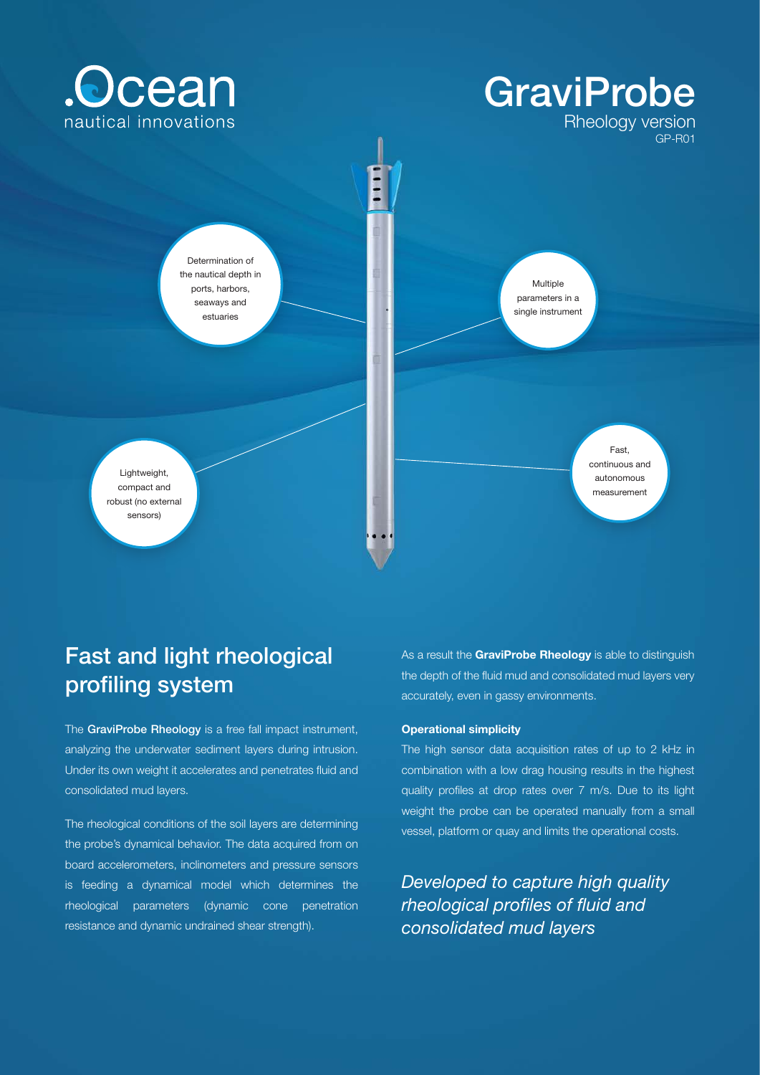

# Fast and light rheological profiling system

The GraviProbe Rheology is a free fall impact instrument, analyzing the underwater sediment layers during intrusion. Under its own weight it accelerates and penetrates fluid and consolidated mud layers.

The rheological conditions of the soil layers are determining the probe's dynamical behavior. The data acquired from on board accelerometers, inclinometers and pressure sensors is feeding a dynamical model which determines the rheological parameters (dynamic cone penetration resistance and dynamic undrained shear strength).

As a result the **GraviProbe Rheology** is able to distinguish the depth of the fluid mud and consolidated mud layers very accurately, even in gassy environments.

#### **Operational simplicity**

The high sensor data acquisition rates of up to 2 kHz in combination with a low drag housing results in the highest quality profiles at drop rates over 7 m/s. Due to its light weight the probe can be operated manually from a small vessel, platform or quay and limits the operational costs.

*Developed to capture high quality rheological profiles of fluid and consolidated mud layers*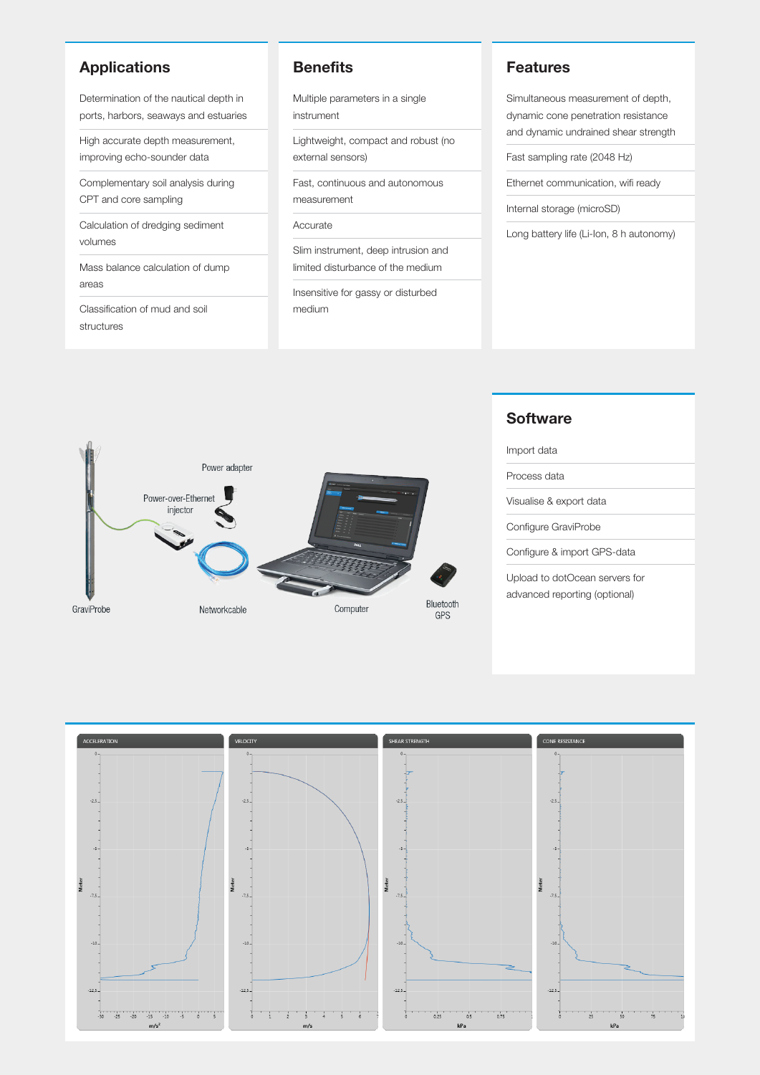## **Applications**

Determination of the nautical depth in ports, harbors, seaways and estuaries

High accurate depth measurement, improving echo-sounder data

Complementary soil analysis during CPT and core sampling

Calculation of dredging sediment volumes

Mass balance calculation of dump areas

Classification of mud and soil structures

#### **Benefits**

Multiple parameters in a single instrument

Lightweight, compact and robust (no external sensors)

Fast, continuous and autonomous measurement

Accurate

Slim instrument, deep intrusion and limited disturbance of the medium

Insensitive for gassy or disturbed medium

#### **Features**

Simultaneous measurement of depth, dynamic cone penetration resistance and dynamic undrained shear strength

Fast sampling rate (2048 Hz)

Ethernet communication, wifi ready

Internal storage (microSD)

Long battery life (Li-Ion, 8 h autonomy)



#### **Software**

Import data

Process data

Visualise & export data

Configure GraviProbe

Configure & import GPS-data

Upload to dotOcean servers for advanced reporting (optional)

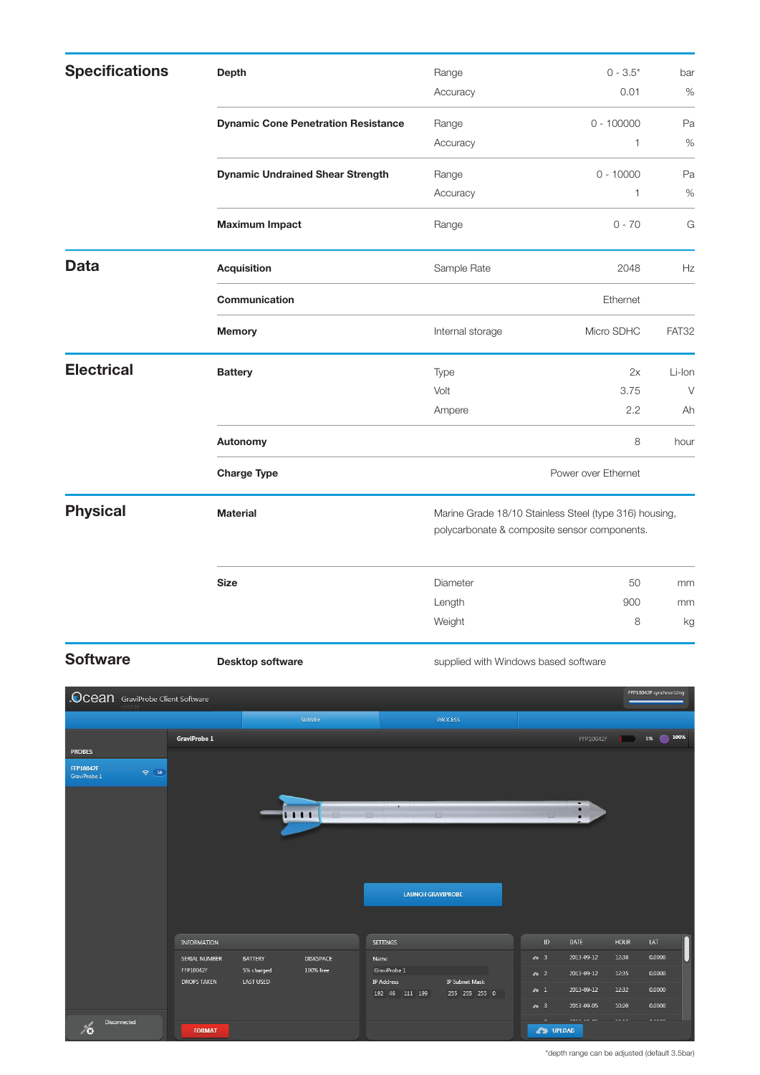| <b>Specifications</b> | <b>Depth</b>                               | Range                                                                                                  | $0 - 3.5*$   | bar    |
|-----------------------|--------------------------------------------|--------------------------------------------------------------------------------------------------------|--------------|--------|
|                       |                                            | Accuracy                                                                                               | 0.01         | $\%$   |
|                       | <b>Dynamic Cone Penetration Resistance</b> | Range                                                                                                  | $0 - 100000$ | Pa     |
|                       |                                            | Accuracy                                                                                               | 1            | $\%$   |
|                       | <b>Dynamic Undrained Shear Strength</b>    | Range                                                                                                  | $0 - 10000$  | Pa     |
|                       |                                            | Accuracy                                                                                               | $\mathbf{1}$ | $\%$   |
|                       | <b>Maximum Impact</b>                      | Range                                                                                                  | $0 - 70$     | G      |
| <b>Data</b>           | <b>Acquisition</b>                         | Sample Rate                                                                                            | 2048         | Hz     |
|                       | Communication                              | Ethernet                                                                                               |              |        |
|                       | <b>Memory</b>                              | Internal storage                                                                                       | Micro SDHC   | FAT32  |
| <b>Electrical</b>     | <b>Battery</b>                             | Type                                                                                                   | 2x           | Li-Ion |
|                       |                                            | Volt                                                                                                   | 3.75         | $\vee$ |
|                       |                                            | Ampere                                                                                                 | 2.2          | Ah     |
|                       | Autonomy                                   |                                                                                                        | 8            | hour   |
|                       | <b>Charge Type</b>                         | Power over Ethernet                                                                                    |              |        |
| <b>Physical</b>       | <b>Material</b>                            | Marine Grade 18/10 Stainless Steel (type 316) housing,<br>polycarbonate & composite sensor components. |              |        |
|                       | <b>Size</b>                                | Diameter                                                                                               | 50           | mm     |
|                       |                                            | Length                                                                                                 | 900          | mm     |
|                       |                                            | Weight                                                                                                 | 8            | kg     |

**Software Desktop software Desktop software** supplied with Windows based software



<sup>\*</sup>depth range can be adjusted (default 3.5bar)